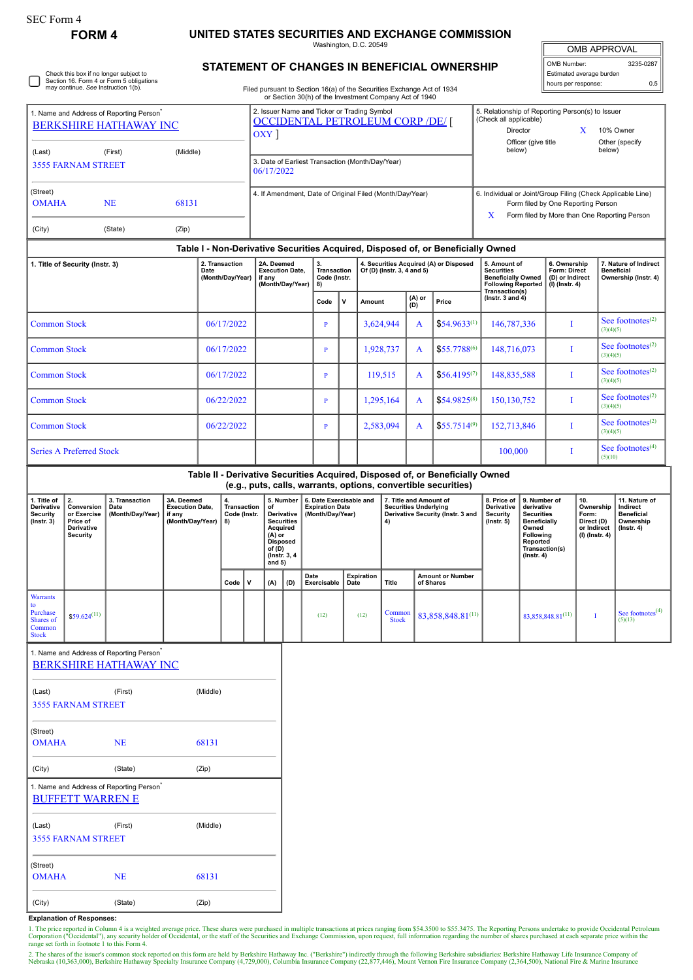## **FORM 4 UNITED STATES SECURITIES AND EXCHANGE COMMISSION**

Washington, D.C. 20549

| <b>OMB APPROVAL</b>      |           |
|--------------------------|-----------|
| OMB Number:              | 3235-0287 |
| Estimated average burden |           |

hours per response: 0.5

Check this box if no longer subject to Section 16. Form 4 or Form 5 obligations may continue. *See* Instruction 1(b).

## **STATEMENT OF CHANGES IN BENEFICIAL OWNERSHIP**

Filed pursuant to Section 16(a) of the Securities Exchange Act of 1934 or Section 30(h) of the Investment Company Act of 1940

| 1. Name and Address of Reporting Person <sup>®</sup><br><b>BERKSHIRE HATHAWAY INC</b> |                                                                              |                                                                                       |                                                                    |            |                                                       |                                                                    | 2. Issuer Name and Ticker or Trading Symbol<br><b>OCCIDENTAL PETROLEUM CORP /DE/</b><br>OXY                                            |              |                                   |                                                                       |                            |                        |                                                                                             |                                                                                                                                                 |                                                                                                                                                        | 5. Relationship of Reporting Person(s) to Issuer<br>(Check all applicable)<br>Director<br>X<br>10% Owner<br>Officer (give title<br>Other (specify     |                                |                                                                          |                                           |                                                                                 |  |
|---------------------------------------------------------------------------------------|------------------------------------------------------------------------------|---------------------------------------------------------------------------------------|--------------------------------------------------------------------|------------|-------------------------------------------------------|--------------------------------------------------------------------|----------------------------------------------------------------------------------------------------------------------------------------|--------------|-----------------------------------|-----------------------------------------------------------------------|----------------------------|------------------------|---------------------------------------------------------------------------------------------|-------------------------------------------------------------------------------------------------------------------------------------------------|--------------------------------------------------------------------------------------------------------------------------------------------------------|-------------------------------------------------------------------------------------------------------------------------------------------------------|--------------------------------|--------------------------------------------------------------------------|-------------------------------------------|---------------------------------------------------------------------------------|--|
| (Middle)<br>(Last)<br>(First)<br><b>3555 FARNAM STREET</b>                            |                                                                              |                                                                                       |                                                                    |            |                                                       |                                                                    | 3. Date of Earliest Transaction (Month/Day/Year)<br>06/17/2022                                                                         |              |                                   |                                                                       |                            |                        |                                                                                             |                                                                                                                                                 |                                                                                                                                                        | below)                                                                                                                                                |                                |                                                                          | below)                                    |                                                                                 |  |
| (Street)<br><b>OMAHA</b><br><b>NE</b><br>68131<br>(City)<br>(State)<br>(Zip)          |                                                                              |                                                                                       |                                                                    |            |                                                       |                                                                    | 4. If Amendment, Date of Original Filed (Month/Day/Year)                                                                               |              |                                   |                                                                       |                            |                        |                                                                                             |                                                                                                                                                 | 6. Individual or Joint/Group Filing (Check Applicable Line)<br>Form filed by One Reporting Person<br>Form filed by More than One Reporting Person<br>X |                                                                                                                                                       |                                |                                                                          |                                           |                                                                                 |  |
|                                                                                       |                                                                              |                                                                                       |                                                                    |            |                                                       |                                                                    |                                                                                                                                        |              |                                   |                                                                       |                            |                        |                                                                                             | Table I - Non-Derivative Securities Acquired, Disposed of, or Beneficially Owned                                                                |                                                                                                                                                        |                                                                                                                                                       |                                |                                                                          |                                           |                                                                                 |  |
| 1. Title of Security (Instr. 3)                                                       |                                                                              |                                                                                       | 2. Transaction<br>Date<br>(Month/Day/Year)                         |            |                                                       | 2A. Deemed<br><b>Execution Date.</b><br>if any<br>(Month/Day/Year) |                                                                                                                                        | 8)           | 3.<br>Transaction<br>Code (Instr. |                                                                       | Of (D) (Instr. 3, 4 and 5) |                        | 4. Securities Acquired (A) or Disposed                                                      | 5. Amount of<br><b>Securities</b><br><b>Beneficially Owned</b><br><b>Following Reported</b><br>Transaction(s)                                   |                                                                                                                                                        | 6. Ownership<br>Form: Direct<br>(D) or Indirect<br>$(I)$ (Instr. 4)                                                                                   |                                | 7. Nature of Indirect<br><b>Beneficial</b><br>Ownership (Instr. 4)       |                                           |                                                                                 |  |
|                                                                                       |                                                                              |                                                                                       |                                                                    |            |                                                       |                                                                    |                                                                                                                                        |              | Code                              | V                                                                     | Amount                     |                        | (A) or<br>(D)                                                                               | Price                                                                                                                                           | (lnstr. $3$ and $4$ )                                                                                                                                  |                                                                                                                                                       |                                |                                                                          |                                           |                                                                                 |  |
| <b>Common Stock</b>                                                                   |                                                                              |                                                                                       |                                                                    | 06/17/2022 |                                                       |                                                                    |                                                                                                                                        |              | $\, {\bf p}$                      |                                                                       | 3,624,944                  |                        | $\mathbf{A}$                                                                                | $$54.9633^{(1)}$                                                                                                                                | 146,787,336                                                                                                                                            |                                                                                                                                                       | Ι                              |                                                                          | See footnotes <sup>(2)</sup><br>(3)(4)(5) |                                                                                 |  |
| <b>Common Stock</b>                                                                   |                                                                              |                                                                                       |                                                                    | 06/17/2022 |                                                       |                                                                    |                                                                                                                                        |              | $\mathbf{P}$                      |                                                                       | 1,928,737                  |                        | A                                                                                           | $$55.7788^{(6)}$                                                                                                                                |                                                                                                                                                        | 148,716,073                                                                                                                                           |                                | Ι                                                                        | See footnotes <sup>(2)</sup><br>(3)(4)(5) |                                                                                 |  |
| <b>Common Stock</b>                                                                   |                                                                              |                                                                                       |                                                                    | 06/17/2022 |                                                       |                                                                    |                                                                                                                                        |              |                                   |                                                                       | 119,515                    | A                      | $$56.4195^{(7)}$                                                                            |                                                                                                                                                 | 148,835,588                                                                                                                                            |                                                                                                                                                       | I                              | See footnotes $(2)$<br>(3)(4)(5)                                         |                                           |                                                                                 |  |
| <b>Common Stock</b>                                                                   |                                                                              |                                                                                       | 06/22/2022                                                         |            |                                                       |                                                                    |                                                                                                                                        | $\mathbf{P}$ |                                   |                                                                       | 1,295,164                  | A                      | $$54.9825^{(8)}$                                                                            | 150, 130, 752                                                                                                                                   |                                                                                                                                                        | I                                                                                                                                                     |                                | See footnotes <sup>(2)</sup><br>(3)(4)(5)                                |                                           |                                                                                 |  |
|                                                                                       | <b>Common Stock</b>                                                          |                                                                                       |                                                                    | 06/22/2022 |                                                       |                                                                    |                                                                                                                                        |              | $\, {\bf p}$                      |                                                                       |                            | 2,583,094              | A                                                                                           | $$55.7514^{(9)}$                                                                                                                                | 152,713,846                                                                                                                                            | I                                                                                                                                                     |                                |                                                                          | See footnotes <sup>(2)</sup><br>(3)(4)(5) |                                                                                 |  |
|                                                                                       | <b>Series A Preferred Stock</b>                                              |                                                                                       |                                                                    |            |                                                       |                                                                    |                                                                                                                                        |              |                                   |                                                                       |                            |                        | 100,000                                                                                     |                                                                                                                                                 | I                                                                                                                                                      |                                                                                                                                                       | See footnotes $(4)$<br>(5)(10) |                                                                          |                                           |                                                                                 |  |
|                                                                                       |                                                                              |                                                                                       |                                                                    |            |                                                       |                                                                    |                                                                                                                                        |              |                                   |                                                                       |                            |                        |                                                                                             | Table II - Derivative Securities Acquired, Disposed of, or Beneficially Owned<br>(e.g., puts, calls, warrants, options, convertible securities) |                                                                                                                                                        |                                                                                                                                                       |                                |                                                                          |                                           |                                                                                 |  |
| 1. Title of<br>Derivative<br><b>Security</b><br>$($ Instr. 3 $)$                      | 2.<br>Conversion<br>or Exercise<br>Price of<br>Derivative<br><b>Security</b> | 3. Transaction<br>Date<br>(Month/Day/Year)                                            | 3A. Deemed<br><b>Execution Date,</b><br>if any<br>(Month/Day/Year) |            | $\overline{4}$ .<br>Transaction<br>Code (Instr.<br>8) |                                                                    | 5. Number<br>of<br>Derivative<br><b>Securities</b><br>Acquired<br>$(A)$ or<br><b>Disposed</b><br>of $(D)$<br>(Instr. 3, 4)<br>and $5)$ |              |                                   | 6. Date Exercisable and<br><b>Expiration Date</b><br>(Month/Day/Year) |                            | 4)                     | 7. Title and Amount of<br><b>Securities Underlying</b><br>Derivative Security (Instr. 3 and |                                                                                                                                                 | 8. Price of<br>Derivative<br>Security<br>(Insert 5)                                                                                                    | 9. Number of<br>derivative<br><b>Securities</b><br><b>Beneficially</b><br>Owned<br><b>Following</b><br>Reported<br>Transaction(s)<br>$($ lnstr. 4 $)$ |                                | 10.<br>Ownership<br>Form:<br>Direct (D)<br>or Indirect<br>(I) (Instr. 4) |                                           | 11. Nature of<br>Indirect<br><b>Beneficial</b><br>Ownership<br>$($ Instr. 4 $)$ |  |
|                                                                                       |                                                                              |                                                                                       |                                                                    |            | v<br>Code                                             |                                                                    | (A)                                                                                                                                    | (D)          | Date<br>Exercisable               | Date                                                                  | Expiration                 | <b>Title</b>           |                                                                                             | <b>Amount or Number</b><br>of Shares                                                                                                            |                                                                                                                                                        |                                                                                                                                                       |                                |                                                                          |                                           |                                                                                 |  |
| <b>Warrants</b><br>to<br>Purchase<br>Shares of<br>Common<br><b>Stock</b>              | $$59.624^{(11)}$                                                             |                                                                                       |                                                                    |            |                                                       |                                                                    |                                                                                                                                        |              | (12)                              |                                                                       | (12)                       | Common<br><b>Stock</b> |                                                                                             | 83,858,848.81(11)                                                                                                                               |                                                                                                                                                        |                                                                                                                                                       | 83, 858, 848.81(11)            | Ι                                                                        |                                           | See footnotes $(4)$<br>(5)(13)                                                  |  |
|                                                                                       |                                                                              | 1. Name and Address of Reporting Person <sup>*</sup><br><b>BERKSHIRE HATHAWAY INC</b> |                                                                    |            |                                                       |                                                                    |                                                                                                                                        |              |                                   |                                                                       |                            |                        |                                                                                             |                                                                                                                                                 |                                                                                                                                                        |                                                                                                                                                       |                                |                                                                          |                                           |                                                                                 |  |
| (Last)                                                                                |                                                                              | (First)                                                                               |                                                                    | (Middle)   |                                                       |                                                                    |                                                                                                                                        |              |                                   |                                                                       |                            |                        |                                                                                             |                                                                                                                                                 |                                                                                                                                                        |                                                                                                                                                       |                                |                                                                          |                                           |                                                                                 |  |
|                                                                                       | <b>3555 FARNAM STREET</b>                                                    |                                                                                       |                                                                    |            |                                                       |                                                                    |                                                                                                                                        |              |                                   |                                                                       |                            |                        |                                                                                             |                                                                                                                                                 |                                                                                                                                                        |                                                                                                                                                       |                                |                                                                          |                                           |                                                                                 |  |
| (Street)<br><b>NE</b><br>68131<br><b>OMAHA</b>                                        |                                                                              |                                                                                       |                                                                    |            |                                                       |                                                                    |                                                                                                                                        |              |                                   |                                                                       |                            |                        |                                                                                             |                                                                                                                                                 |                                                                                                                                                        |                                                                                                                                                       |                                |                                                                          |                                           |                                                                                 |  |
| (City)                                                                                |                                                                              | (State)                                                                               |                                                                    | (Zip)      |                                                       |                                                                    |                                                                                                                                        |              |                                   |                                                                       |                            |                        |                                                                                             |                                                                                                                                                 |                                                                                                                                                        |                                                                                                                                                       |                                |                                                                          |                                           |                                                                                 |  |
|                                                                                       | <b>BUFFETT WARREN E</b>                                                      | 1. Name and Address of Reporting Person <sup>*</sup>                                  |                                                                    |            |                                                       |                                                                    |                                                                                                                                        |              |                                   |                                                                       |                            |                        |                                                                                             |                                                                                                                                                 |                                                                                                                                                        |                                                                                                                                                       |                                |                                                                          |                                           |                                                                                 |  |
| (Middle)<br>(Last)<br>(First)<br><b>3555 FARNAM STREET</b>                            |                                                                              |                                                                                       |                                                                    |            |                                                       |                                                                    |                                                                                                                                        |              |                                   |                                                                       |                            |                        |                                                                                             |                                                                                                                                                 |                                                                                                                                                        |                                                                                                                                                       |                                |                                                                          |                                           |                                                                                 |  |
| (Street)                                                                              | 68131<br><b>OMAHA</b><br><b>NE</b>                                           |                                                                                       |                                                                    |            |                                                       |                                                                    |                                                                                                                                        |              |                                   |                                                                       |                            |                        |                                                                                             |                                                                                                                                                 |                                                                                                                                                        |                                                                                                                                                       |                                |                                                                          |                                           |                                                                                 |  |
| (City)                                                                                |                                                                              | (State)                                                                               |                                                                    | (Zip)      |                                                       |                                                                    |                                                                                                                                        |              |                                   |                                                                       |                            |                        |                                                                                             |                                                                                                                                                 |                                                                                                                                                        |                                                                                                                                                       |                                |                                                                          |                                           |                                                                                 |  |

## **Explanation of Responses:**

1. The price reported in Column 4 is a weighted average price. These shares were purchased in multiple transactions at prices ranging from \$54.3500 to \$55.3475. The Reporting Persons undertake to provide Occidental Petrole

2. The shares of the issuer's common stock reported on this form are held by Berkshire Hathaway Inc. ("Berkshire") indirectly through the following Berkshire subsidiaries: Berkshire Hathaway Life Insurance Company of<br>Nebra